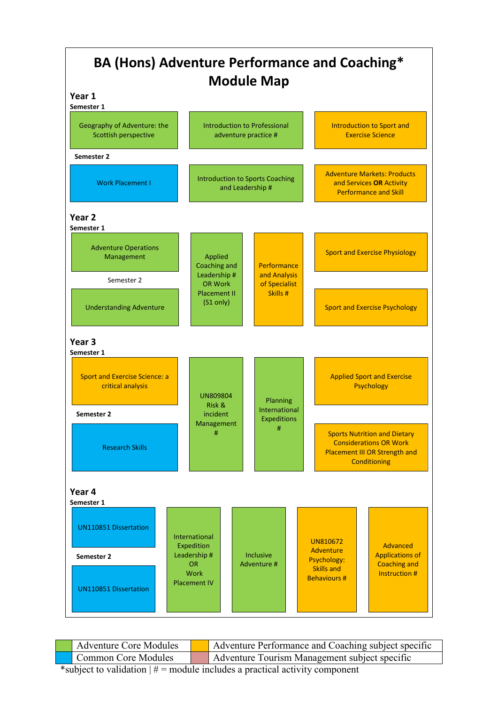

| <b>Adventure Core Modules</b> | Adventure Performance and Coaching subject specific |
|-------------------------------|-----------------------------------------------------|
| <b>Common Core Modules</b>    | Adventure Tourism Management subject specific       |
|                               |                                                     |

\*subject to validation  $\neq \equiv$  module includes a practical activity component